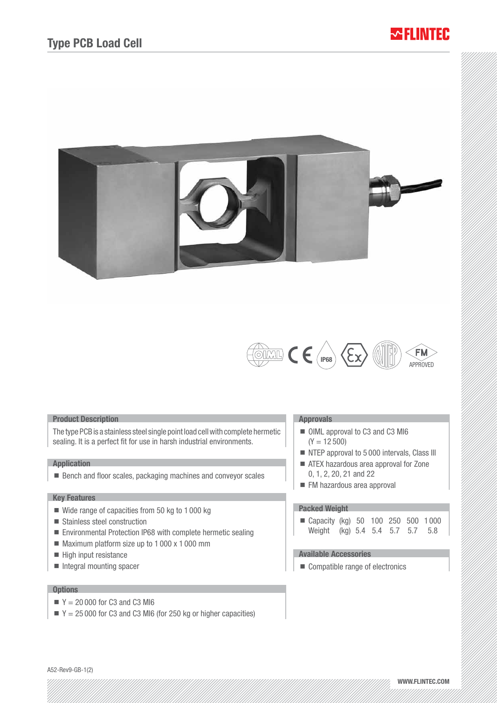# ~II INITER





### Product Description

The type PCB is a stainless steel single point load cell with complete hermetic sealing. It is a perfect fit for use in harsh industrial environments.

## Application

■ Bench and floor scales, packaging machines and conveyor scales

## Key Features

- $\blacksquare$  Wide range of capacities from 50 kg to 1 000 kg
- Stainless steel construction
- Environmental Protection IP68 with complete hermetic sealing
- $\blacksquare$  Maximum platform size up to 1 000 x 1 000 mm
- $\blacksquare$  High input resistance
- $\blacksquare$  Integral mounting spacer

# **Options**

- $Y = 20000$  for C3 and C3 MI6
- $Y = 25000$  for C3 and C3 MI6 (for 250 kg or higher capacities)

#### Approvals

- OIML approval to C3 and C3 MI6  $(Y = 12500)$
- NTEP approval to 5 000 intervals, Class III
- ATEX hazardous area approval for Zone 0, 1, 2, 20, 21 and 22
- FM hazardous area approval

### Packed Weight

| ■ Capacity (kg) 50 100 250 500 1000 |  |  |  |
|-------------------------------------|--|--|--|
| Weight (kg) 5.4 5.4 5.7 5.7 5.8     |  |  |  |

# Available Accessories

■ Compatible range of electronics